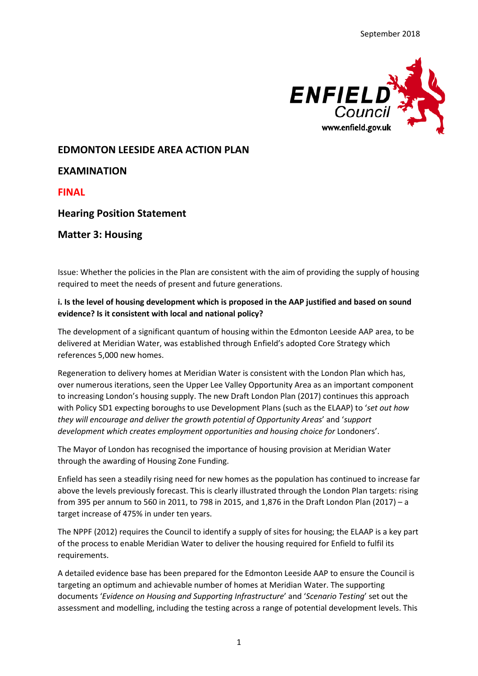

# **EDMONTON LEESIDE AREA ACTION PLAN**

## **EXAMINATION**

**FINAL**

# **Hearing Position Statement**

## **Matter 3: Housing**

Issue: Whether the policies in the Plan are consistent with the aim of providing the supply of housing required to meet the needs of present and future generations.

#### **i. Is the level of housing development which is proposed in the AAP justified and based on sound evidence? Is it consistent with local and national policy?**

The development of a significant quantum of housing within the Edmonton Leeside AAP area, to be delivered at Meridian Water, was established through Enfield's adopted Core Strategy which references 5,000 new homes.

Regeneration to delivery homes at Meridian Water is consistent with the London Plan which has, over numerous iterations, seen the Upper Lee Valley Opportunity Area as an important component to increasing London's housing supply. The new Draft London Plan (2017) continues this approach with Policy SD1 expecting boroughs to use Development Plans (such as the ELAAP) to '*set out how they will encourage and deliver the growth potential of Opportunity Areas*' and '*support development which creates employment opportunities and housing choice for Londoners'.* 

The Mayor of London has recognised the importance of housing provision at Meridian Water through the awarding of Housing Zone Funding.

Enfield has seen a steadily rising need for new homes as the population has continued to increase far above the levels previously forecast. This is clearly illustrated through the London Plan targets: rising from 395 per annum to 560 in 2011, to 798 in 2015, and 1,876 in the Draft London Plan (2017) – a target increase of 475% in under ten years.

The NPPF (2012) requires the Council to identify a supply of sites for housing; the ELAAP is a key part of the process to enable Meridian Water to deliver the housing required for Enfield to fulfil its requirements.

A detailed evidence base has been prepared for the Edmonton Leeside AAP to ensure the Council is targeting an optimum and achievable number of homes at Meridian Water. The supporting documents '*Evidence on Housing and Supporting Infrastructure*' and '*Scenario Testing*' set out the assessment and modelling, including the testing across a range of potential development levels. This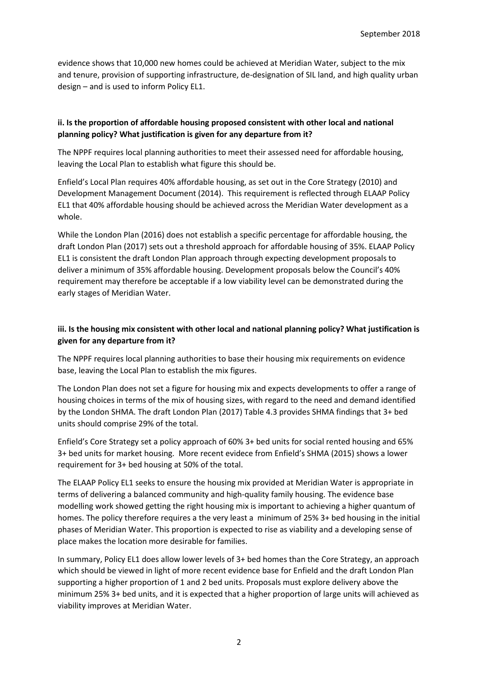evidence shows that 10,000 new homes could be achieved at Meridian Water, subject to the mix and tenure, provision of supporting infrastructure, de-designation of SIL land, and high quality urban design – and is used to inform Policy EL1.

## **ii. Is the proportion of affordable housing proposed consistent with other local and national planning policy? What justification is given for any departure from it?**

The NPPF requires local planning authorities to meet their assessed need for affordable housing, leaving the Local Plan to establish what figure this should be.

Enfield's Local Plan requires 40% affordable housing, as set out in the Core Strategy (2010) and Development Management Document (2014). This requirement is reflected through ELAAP Policy EL1 that 40% affordable housing should be achieved across the Meridian Water development as a whole.

While the London Plan (2016) does not establish a specific percentage for affordable housing, the draft London Plan (2017) sets out a threshold approach for affordable housing of 35%. ELAAP Policy EL1 is consistent the draft London Plan approach through expecting development proposals to deliver a minimum of 35% affordable housing. Development proposals below the Council's 40% requirement may therefore be acceptable if a low viability level can be demonstrated during the early stages of Meridian Water.

#### **iii. Is the housing mix consistent with other local and national planning policy? What justification is given for any departure from it?**

The NPPF requires local planning authorities to base their housing mix requirements on evidence base, leaving the Local Plan to establish the mix figures.

The London Plan does not set a figure for housing mix and expects developments to offer a range of housing choices in terms of the mix of housing sizes, with regard to the need and demand identified by the London SHMA. The draft London Plan (2017) Table 4.3 provides SHMA findings that 3+ bed units should comprise 29% of the total.

Enfield's Core Strategy set a policy approach of 60% 3+ bed units for social rented housing and 65% 3+ bed units for market housing. More recent evidece from Enfield's SHMA (2015) shows a lower requirement for 3+ bed housing at 50% of the total.

The ELAAP Policy EL1 seeks to ensure the housing mix provided at Meridian Water is appropriate in terms of delivering a balanced community and high-quality family housing. The evidence base modelling work showed getting the right housing mix is important to achieving a higher quantum of homes. The policy therefore requires a the very least a minimum of 25% 3+ bed housing in the initial phases of Meridian Water. This proportion is expected to rise as viability and a developing sense of place makes the location more desirable for families.

In summary, Policy EL1 does allow lower levels of 3+ bed homes than the Core Strategy, an approach which should be viewed in light of more recent evidence base for Enfield and the draft London Plan supporting a higher proportion of 1 and 2 bed units. Proposals must explore delivery above the minimum 25% 3+ bed units, and it is expected that a higher proportion of large units will achieved as viability improves at Meridian Water.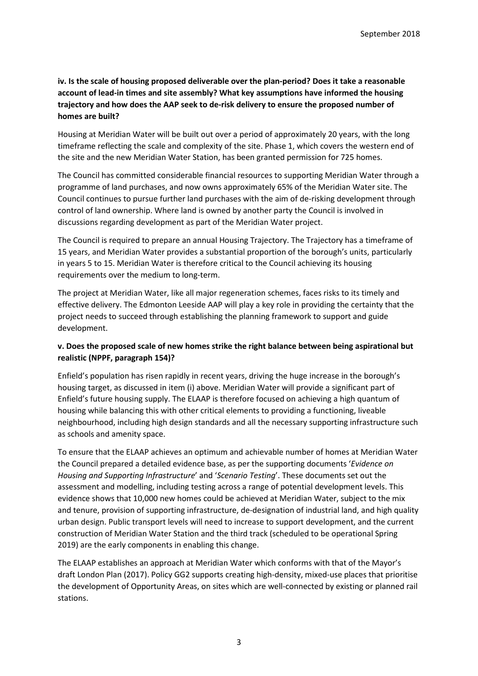### **iv. Is the scale of housing proposed deliverable over the plan-period? Does it take a reasonable account of lead-in times and site assembly? What key assumptions have informed the housing trajectory and how does the AAP seek to de-risk delivery to ensure the proposed number of homes are built?**

Housing at Meridian Water will be built out over a period of approximately 20 years, with the long timeframe reflecting the scale and complexity of the site. Phase 1, which covers the western end of the site and the new Meridian Water Station, has been granted permission for 725 homes.

The Council has committed considerable financial resources to supporting Meridian Water through a programme of land purchases, and now owns approximately 65% of the Meridian Water site. The Council continues to pursue further land purchases with the aim of de-risking development through control of land ownership. Where land is owned by another party the Council is involved in discussions regarding development as part of the Meridian Water project.

The Council is required to prepare an annual Housing Trajectory. The Trajectory has a timeframe of 15 years, and Meridian Water provides a substantial proportion of the borough's units, particularly in years 5 to 15. Meridian Water is therefore critical to the Council achieving its housing requirements over the medium to long-term.

The project at Meridian Water, like all major regeneration schemes, faces risks to its timely and effective delivery. The Edmonton Leeside AAP will play a key role in providing the certainty that the project needs to succeed through establishing the planning framework to support and guide development.

### **v. Does the proposed scale of new homes strike the right balance between being aspirational but realistic (NPPF, paragraph 154)?**

Enfield's population has risen rapidly in recent years, driving the huge increase in the borough's housing target, as discussed in item (i) above. Meridian Water will provide a significant part of Enfield's future housing supply. The ELAAP is therefore focused on achieving a high quantum of housing while balancing this with other critical elements to providing a functioning, liveable neighbourhood, including high design standards and all the necessary supporting infrastructure such as schools and amenity space.

To ensure that the ELAAP achieves an optimum and achievable number of homes at Meridian Water the Council prepared a detailed evidence base, as per the supporting documents '*Evidence on Housing and Supporting Infrastructure*' and '*Scenario Testing*'. These documents set out the assessment and modelling, including testing across a range of potential development levels. This evidence shows that 10,000 new homes could be achieved at Meridian Water, subject to the mix and tenure, provision of supporting infrastructure, de-designation of industrial land, and high quality urban design. Public transport levels will need to increase to support development, and the current construction of Meridian Water Station and the third track (scheduled to be operational Spring 2019) are the early components in enabling this change.

The ELAAP establishes an approach at Meridian Water which conforms with that of the Mayor's draft London Plan (2017). Policy GG2 supports creating high-density, mixed-use places that prioritise the development of Opportunity Areas, on sites which are well-connected by existing or planned rail stations.